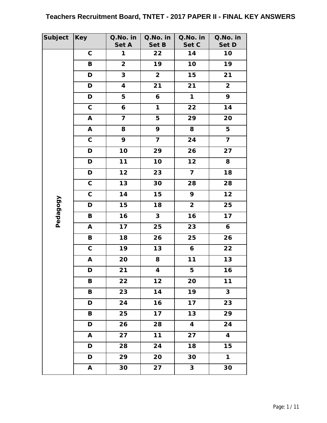| Subject  | <b>Key</b>                | Q.No. in                | Q.No. in                | Q.No. in                | Q.No. in                |
|----------|---------------------------|-------------------------|-------------------------|-------------------------|-------------------------|
|          | $\mathbf C$               | Set A<br>$\mathbf{1}$   | Set B<br>22             | Set C<br>14             | Set D<br>10             |
|          | $\, {\bf B}$              | $\overline{\mathbf{2}}$ | 19                      | 10                      | 19                      |
|          |                           |                         |                         |                         |                         |
|          | D                         | 3                       | $\overline{\mathbf{2}}$ | 15                      | 21                      |
|          | D                         | $\overline{\mathbf{4}}$ | 21                      | 21                      | $\mathbf{2}$            |
|          | D                         | 5                       | 6                       | $\mathbf{1}$            | 9                       |
|          | $\mathsf C$               | 6                       | $\mathbf{1}$            | 22                      | 14                      |
|          | A                         | $\overline{\mathbf{z}}$ | 5                       | 29                      | 20                      |
|          | $\boldsymbol{\mathsf{A}}$ | 8                       | 9                       | 8                       | 5                       |
|          | $\mathsf C$               | 9                       | $\overline{\mathbf{z}}$ | 24                      | $\overline{\mathbf{z}}$ |
|          | $\mathbf D$               | 10                      | 29                      | 26                      | 27                      |
|          | D                         | 11                      | 10                      | $12$                    | 8                       |
|          | D                         | 12                      | 23                      | $\overline{7}$          | 18                      |
|          | $\mathsf c$               | 13                      | 30                      | 28                      | 28                      |
|          | $\mathbf C$               | 14                      | 15                      | 9                       | 12                      |
| Pedagogy | D                         | 15                      | 18                      | $\overline{\mathbf{2}}$ | 25                      |
|          | B                         | 16                      | $\mathbf{3}$            | 16                      | $17$                    |
|          | A                         | 17                      | 25                      | 23                      | $\boldsymbol{6}$        |
|          | $\, {\bf B} \,$           | 18                      | 26                      | 25                      | 26                      |
|          | $\mathsf C$               | 19                      | 13                      | $\boldsymbol{6}$        | 22                      |
|          | A                         | 20                      | 8                       | 11                      | 13                      |
|          | D                         | 21                      | $\overline{\mathbf{4}}$ | 5                       | 16                      |
|          | В                         | 22                      | $12$                    | 20                      | $11$                    |
|          | B                         | 23                      | 14                      | 19                      | $\mathbf{3}$            |
|          | $\mathbf D$               | 24                      | 16                      | 17                      | 23                      |
|          | B                         | 25                      | 17                      | 13                      | 29                      |
|          | D                         | 26                      | 28                      | 4                       | 24                      |
|          | $\mathbf{A}$              | 27                      | 11                      | 27                      | $\overline{\mathbf{4}}$ |
|          | D                         | 28                      | 24                      | 18                      | 15                      |
|          | D                         | 29                      | 20                      | 30                      | $\mathbf{1}$            |
|          | A                         | 30                      | $\overline{27}$         | $\mathbf{3}$            | 30                      |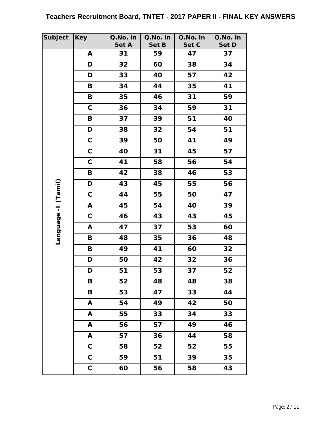| Subject    | <b>Key</b>   | Q.No. in | Q.No. in | Q.No. in | Q.No. in |
|------------|--------------|----------|----------|----------|----------|
|            |              | Set A    | Set B    | Set C    | Set D    |
|            | A            | 31       | 59       | 47       | 37       |
|            | D            | 32       | 60       | 38       | 34       |
|            | D            | 33       | 40       | 57       | 42       |
|            | B            | 34       | 44       | 35       | 41       |
|            | $\, {\bf B}$ | 35       | 46       | 31       | 59       |
|            | $\mathbf C$  | 36       | 34       | 59       | 31       |
|            | B            | 37       | 39       | 51       | 40       |
|            | D            | 38       | 32       | 54       | 51       |
|            | $\mathsf C$  | 39       | 50       | 41       | 49       |
|            | $\mathsf C$  | 40       | 31       | 45       | 57       |
|            | $\mathsf C$  | 41       | 58       | 56       | 54       |
|            | B            | 42       | 38       | 46       | 53       |
| (Tamil)    | D            | 43       | 45       | 55       | 56       |
|            | $\mathsf C$  | 44       | 55       | 50       | 47       |
|            | A            | 45       | 54       | 40       | 39       |
|            | $\mathsf C$  | 46       | 43       | 43       | 45       |
|            | A            | 47       | 37       | 53       | 60       |
| I-anguage- | B            | 48       | 35       | 36       | 48       |
|            | B            | 49       | 41       | 60       | 32       |
|            | $\mathbf D$  | 50       | 42       | 32       | 36       |
|            | D            | 51       | 53       | 37       | 52       |
|            | Β            | 52       | 48       | 48       | 38       |
|            | B            | 53       | 47       | 33       | 44       |
|            | A            | 54       | 49       | 42       | 50       |
|            | A            | 55       | 33       | 34       | 33       |
|            | A            | 56       | 57       | 49       | 46       |
|            | A            | 57       | 36       | 44       | 58       |
|            | $\mathbf C$  | 58       | 52       | 52       | 55       |
|            | $\mathsf C$  | 59       | 51       | 39       | 35       |
|            | $\mathsf C$  | 60       | 56       | 58       | 43       |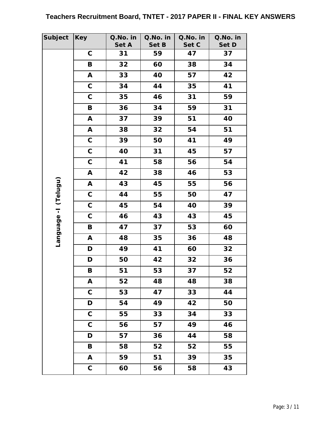| Subject                | Key          | Q.No. in | Q.No. in | Q.No. in | Q.No. in |
|------------------------|--------------|----------|----------|----------|----------|
|                        |              | Set A    | Set B    | Set C    | Set D    |
|                        | $\mathsf C$  | 31       | 59       | 47       | 37       |
|                        | B            | 32       | 60       | 38       | 34       |
|                        | A            | 33       | 40       | 57       | 42       |
|                        | $\mathsf C$  | 34       | 44       | 35       | 41       |
|                        | $\mathsf C$  | 35       | 46       | 31       | 59       |
|                        | $\, {\bf B}$ | 36       | 34       | 59       | 31       |
|                        | A            | 37       | 39       | 51       | 40       |
|                        | A            | 38       | 32       | 54       | 51       |
|                        | $\mathsf C$  | 39       | 50       | 41       | 49       |
|                        | $\mathsf C$  | 40       | 31       | 45       | 57       |
|                        | $\mathbf C$  | 41       | 58       | 56       | 54       |
|                        | A            | 42       | 38       | 46       | 53       |
|                        | A            | 43       | 45       | 55       | 56       |
| (Telugu)               | $\mathbf C$  | 44       | 55       | 50       | 47       |
|                        | $\mathsf C$  | 45       | 54       | 40       | 39       |
|                        | $\mathsf C$  | 46       | 43       | 43       | 45       |
| I-abenbue <sub>1</sub> | B            | 47       | 37       | 53       | 60       |
|                        | A            | 48       | 35       | 36       | 48       |
|                        | D            | 49       | 41       | 60       | 32       |
|                        | D            | 50       | 42       | 32       | 36       |
|                        | B            | 51       | 53       | 37       | 52       |
|                        | A            | 52       | 48       | 48       | 38       |
|                        | $\mathbf C$  | 53       | 47       | 33       | 44       |
|                        | D            | 54       | 49       | 42       | 50       |
|                        | $\mathbf C$  | 55       | 33       | 34       | 33       |
|                        | $\mathbf C$  | 56       | 57       | 49       | 46       |
|                        | D            | 57       | 36       | 44       | 58       |
|                        | B            | 58       | 52       | 52       | 55       |
|                        | A            | 59       | 51       | 39       | 35       |
|                        | $\mathbf C$  | 60       | 56       | 58       | 43       |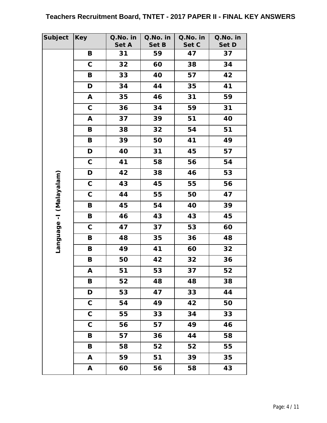| Subject     | <b>Key</b>   | Q.No. in | Q.No. in | Q.No. in | Q.No. in |
|-------------|--------------|----------|----------|----------|----------|
|             |              | Set A    | Set B    | Set C    | Set D    |
|             | B            | 31       | 59       | 47       | 37       |
|             | $\mathsf C$  | 32       | 60       | 38       | 34       |
|             | $\, {\bf B}$ | 33       | 40       | 57       | 42       |
|             | D            | 34       | 44       | 35       | 41       |
|             | A            | 35       | 46       | 31       | 59       |
|             | $\mathsf C$  | 36       | 34       | 59       | 31       |
|             | A            | 37       | 39       | 51       | 40       |
|             | B            | 38       | 32       | 54       | 51       |
|             | B            | 39       | 50       | 41       | 49       |
|             | D            | 40       | 31       | 45       | 57       |
|             | $\mathsf C$  | 41       | 58       | 56       | 54       |
|             | D            | 42       | 38       | 46       | 53       |
|             | $\mathsf C$  | 43       | 45       | 55       | 56       |
|             | $\mathsf C$  | 44       | 55       | 50       | 47       |
| (Malayalam) | B            | 45       | 54       | 40       | 39       |
|             | $\, {\bf B}$ | 46       | 43       | 43       | 45       |
|             | $\mathsf C$  | 47       | 37       | 53       | 60       |
| I-appugus   | B            | 48       | 35       | 36       | 48       |
|             | B            | 49       | 41       | 60       | 32       |
|             | $\, {\bf B}$ | 50       | 42       | 32       | 36       |
|             | Α            | 51       | 53       | 37       | 52       |
|             | Β            | 52       | 48       | 48       | 38       |
|             | D            | 53       | 47       | 33       | 44       |
|             | $\mathbf C$  | 54       | 49       | 42       | 50       |
|             | $\mathsf C$  | 55       | 33       | 34       | 33       |
|             | $\mathbf C$  | 56       | 57       | 49       | 46       |
|             | B            | 57       | 36       | 44       | 58       |
|             | B            | 58       | 52       | 52       | 55       |
|             | A            | 59       | 51       | 39       | 35       |
|             | A            | 60       | 56       | 58       | 43       |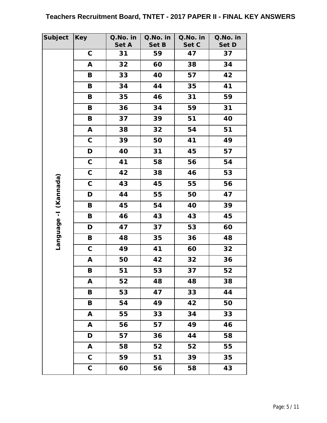| Subject                | Key          | Q.No. in | Q.No. in | Q.No. in | Q.No. in |
|------------------------|--------------|----------|----------|----------|----------|
|                        |              | Set A    | Set B    | Set C    | Set D    |
|                        | $\mathsf C$  | 31       | 59       | 47       | 37       |
|                        | A            | 32       | 60       | 38       | 34       |
|                        | B            | 33       | 40       | 57       | 42       |
|                        | B            | 34       | 44       | 35       | 41       |
|                        | B            | 35       | 46       | 31       | 59       |
|                        | $\mathbf B$  | 36       | 34       | 59       | 31       |
|                        | B            | 37       | 39       | 51       | 40       |
|                        | A            | 38       | 32       | 54       | 51       |
|                        | $\mathsf C$  | 39       | 50       | 41       | 49       |
|                        | D            | 40       | 31       | 45       | 57       |
|                        | $\mathbf C$  | 41       | 58       | 56       | 54       |
|                        | $\mathsf C$  | 42       | 38       | 46       | 53       |
| (Kannada)              | $\mathbf C$  | 43       | 45       | 55       | 56       |
|                        | D            | 44       | 55       | 50       | 47       |
|                        | B            | 45       | 54       | 40       | 39       |
|                        | B            | 46       | 43       | 43       | 45       |
| I-abenbue <sub>1</sub> | D            | 47       | 37       | 53       | 60       |
|                        | B            | 48       | 35       | 36       | 48       |
|                        | $\mathsf C$  | 49       | 41       | 60       | 32       |
|                        | A            | 50       | 42       | 32       | 36       |
|                        | B            | 51       | 53       | 37       | 52       |
|                        | A            | 52       | 48       | 48       | 38       |
|                        | B            | 53       | 47       | 33       | 44       |
|                        | $\mathbf B$  | 54       | 49       | 42       | 50       |
|                        | $\mathsf{A}$ | 55       | 33       | 34       | 33       |
|                        | A            | 56       | 57       | 49       | 46       |
|                        | D            | 57       | 36       | 44       | 58       |
|                        | A            | 58       | 52       | 52       | 55       |
|                        | $\mathbf C$  | 59       | 51       | 39       | 35       |
|                        | $\mathsf C$  | 60       | 56       | 58       | 43       |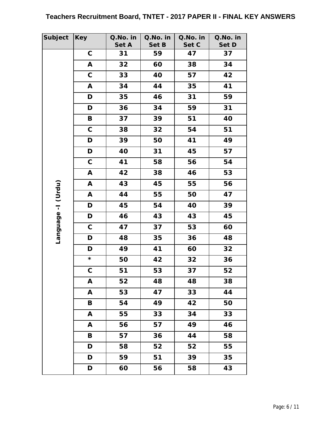| Subject             | <b>Key</b>      | Q.No. in | Q.No. in | Q.No. in | Q.No. in |
|---------------------|-----------------|----------|----------|----------|----------|
|                     |                 | Set A    | Set B    | Set C    | Set D    |
|                     | $\mathbf C$     | 31       | 59       | 47       | 37       |
|                     | A               | 32       | 60       | 38       | 34       |
|                     | $\mathbf C$     | 33       | 40       | 57       | 42       |
|                     | A               | 34       | 44       | 35       | 41       |
|                     | D               | 35       | 46       | 31       | 59       |
|                     | D               | 36       | 34       | 59       | 31       |
|                     | $\, {\bf B}$    | 37       | 39       | 51       | 40       |
|                     | $\mathbf C$     | 38       | 32       | 54       | 51       |
|                     | D               | 39       | 50       | 41       | 49       |
|                     | D               | 40       | 31       | 45       | 57       |
|                     | $\mathbf C$     | 41       | 58       | 56       | 54       |
|                     | A               | 42       | 38       | 46       | 53       |
|                     | A               | 43       | 45       | 55       | 56       |
|                     | A               | 44       | 55       | 50       | 47       |
| Language - I (Urdu) | D               | 45       | 54       | 40       | 39       |
|                     | D               | 46       | 43       | 43       | 45       |
|                     | $\mathsf C$     | 47       | 37       | 53       | 60       |
|                     | D               | 48       | 35       | 36       | 48       |
|                     | D               | 49       | 41       | 60       | 32       |
|                     | $\star$         | 50       | 42       | 32       | 36       |
|                     | $\mathsf C$     | 51       | 53       | 37       | 52       |
|                     | A               | 52       | 48       | 48       | 38       |
|                     | A               | 53       | 47       | 33       | 44       |
|                     | $\, {\bf B} \,$ | 54       | 49       | 42       | 50       |
|                     | $\mathsf{A}$    | 55       | 33       | 34       | 33       |
|                     | A               | 56       | 57       | 49       | 46       |
|                     | B               | 57       | 36       | 44       | 58       |
|                     | D               | 58       | 52       | 52       | 55       |
|                     | D               | 59       | 51       | 39       | 35       |
|                     | D               | 60       | 56       | 58       | 43       |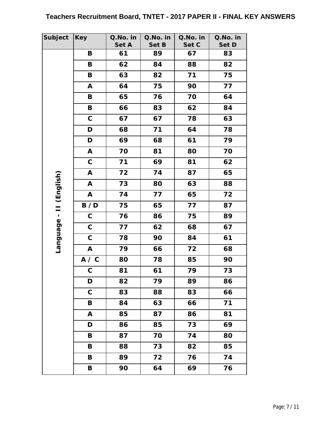| Subject       | <b>Key</b>   | Q.No. in | Q.No. in | Q.No. in | Q.No. in |
|---------------|--------------|----------|----------|----------|----------|
|               |              | Set A    | Set B    | Set C    | Set D    |
|               | B            | 61       | 89       | 67       | 83       |
|               | B            | 62       | 84       | 88       | 82       |
|               | $\, {\bf B}$ | 63       | 82       | 71       | 75       |
|               | A            | 64       | 75       | 90       | 77       |
|               | B            | 65       | 76       | 70       | 64       |
|               | B            | 66       | 83       | 62       | 84       |
|               | $\mathsf C$  | 67       | 67       | 78       | 63       |
|               | D            | 68       | 71       | 64       | 78       |
|               | D            | 69       | 68       | 61       | 79       |
|               | A            | 70       | 81       | 80       | 70       |
|               | $\mathsf C$  | 71       | 69       | 81       | 62       |
|               | A            | 72       | 74       | 87       | 65       |
| (English)     | A            | 73       | 80       | 63       | 88       |
|               | A            | 74       | 77       | 65       | 72       |
|               | B / D        | 75       | 65       | 77       | 87       |
|               | $\mathsf C$  | 76       | 86       | 75       | 89       |
| Language - II | $\mathsf C$  | 77       | 62       | 68       | 67       |
|               | $\mathbf C$  | 78       | 90       | 84       | 61       |
|               | $\mathbf{A}$ | 79       | 66       | 72       | 68       |
|               | A / C        | 80       | 78       | 85       | 90       |
|               | C            | 81       | 61       | 79       | 73       |
|               | D            | 82       | 79       | 89       | 86       |
|               | $\mathbf C$  | 83       | 88       | 83       | 66       |
|               | $\, {\bf B}$ | 84       | 63       | 66       | 71       |
|               | A            | 85       | 87       | 86       | 81       |
|               | D            | 86       | 85       | 73       | 69       |
|               | B            | 87       | 70       | 74       | 80       |
|               | B            | 88       | 73       | 82       | 85       |
|               | B            | 89       | 72       | 76       | 74       |
|               | B            | 90       | 64       | 69       | 76       |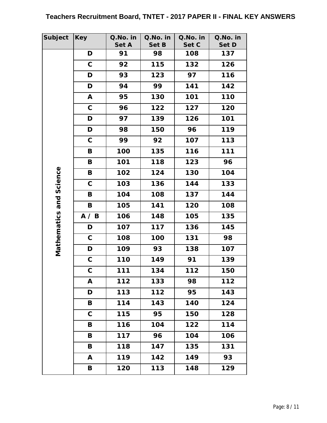| Subject         | <b>Key</b>   | Q.No. in | Q.No. in | Q.No. in | Q.No. in |
|-----------------|--------------|----------|----------|----------|----------|
|                 |              | Set A    | Set B    | Set C    | Set D    |
|                 | D            | 91       | 98       | 108      | 137      |
|                 | $\mathbf C$  | 92       | 115      | 132      | 126      |
|                 | D            | 93       | 123      | 97       | 116      |
|                 | D            | 94       | 99       | 141      | 142      |
|                 | $\mathbf{A}$ | 95       | 130      | 101      | 110      |
|                 | $\mathbf C$  | 96       | 122      | 127      | 120      |
|                 | D            | 97       | 139      | 126      | 101      |
|                 | D            | 98       | 150      | 96       | 119      |
|                 | $\mathbf C$  | 99       | 92       | 107      | 113      |
|                 | B            | 100      | 135      | 116      | 111      |
|                 | B            | 101      | 118      | 123      | 96       |
|                 | B            | 102      | 124      | 130      | 104      |
| Science         | $\mathbf C$  | 103      | 136      | 144      | 133      |
|                 | B            | 104      | 108      | 137      | 144      |
| Mathematics and | B            | 105      | 141      | 120      | 108      |
|                 | A / B        | 106      | 148      | 105      | 135      |
|                 | D            | 107      | 117      | 136      | 145      |
|                 | $\mathbf C$  | 108      | 100      | 131      | 98       |
|                 | D            | 109      | 93       | 138      | 107      |
|                 | $\mathsf C$  | 110      | 149      | 91       | 139      |
|                 | $\mathsf C$  | 111      | 134      | 112      | 150      |
|                 | A            | 112      | 133      | 98       | 112      |
|                 | D            | 113      | 112      | 95       | 143      |
|                 | B            | 114      | 143      | 140      | 124      |
|                 | $\mathbf C$  | 115      | 95       | 150      | 128      |
|                 | B            | 116      | 104      | 122      | 114      |
|                 | B            | 117      | 96       | 104      | 106      |
|                 | B            | 118      | 147      | 135      | 131      |
|                 | $\mathbf{A}$ | 119      | 142      | 149      | 93       |
|                 | B            | 120      | 113      | 148      | 129      |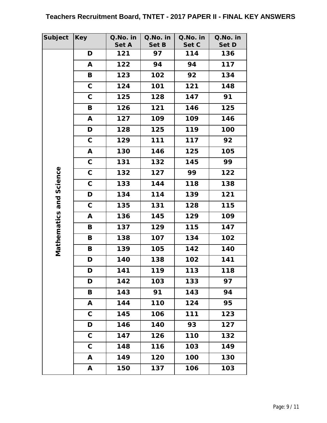| Subject         | <b>Key</b>   | Q.No. in | Q.No. in | Q.No. in | Q.No. in |
|-----------------|--------------|----------|----------|----------|----------|
|                 |              | Set A    | Set B    | Set C    | Set D    |
|                 | D            | 121      | 97       | 114      | 136      |
|                 | A            | 122      | 94       | 94       | 117      |
|                 | $\, {\bf B}$ | 123      | 102      | 92       | 134      |
|                 | $\mathbf C$  | 124      | 101      | 121      | 148      |
|                 | $\mathbf C$  | 125      | 128      | 147      | 91       |
|                 | B            | 126      | 121      | 146      | 125      |
|                 | A            | 127      | 109      | 109      | 146      |
|                 | D            | 128      | 125      | 119      | 100      |
|                 | $\mathsf C$  | 129      | 111      | 117      | 92       |
|                 | A            | 130      | 146      | 125      | 105      |
|                 | $\mathsf C$  | 131      | 132      | 145      | 99       |
|                 | $\mathsf C$  | 132      | 127      | 99       | 122      |
| Science         | $\mathbf C$  | 133      | 144      | 118      | 138      |
|                 | D            | 134      | 114      | 139      | 121      |
| Mathematics and | $\mathbf C$  | 135      | 131      | 128      | 115      |
|                 | A            | 136      | 145      | 129      | 109      |
|                 | B            | 137      | 129      | 115      | 147      |
|                 | B            | 138      | 107      | 134      | 102      |
|                 | B            | 139      | 105      | 142      | 140      |
|                 | D            | 140      | 138      | 102      | 141      |
|                 | D            | 141      | 119      | 113      | 118      |
|                 | D            | 142      | 103      | 133      | 97       |
|                 | B            | 143      | 91       | 143      | 94       |
|                 | A            | 144      | 110      | 124      | 95       |
|                 | $\mathbf C$  | 145      | 106      | 111      | 123      |
|                 | D            | 146      | 140      | 93       | 127      |
|                 | $\mathbf C$  | 147      | 126      | 110      | 132      |
|                 | $\mathbf C$  | 148      | 116      | 103      | 149      |
|                 | A            | 149      | 120      | 100      | 130      |
|                 | A            | 150      | 137      | 106      | 103      |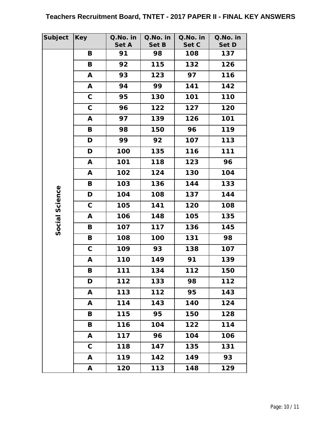| Subject        | <b>Key</b>  | Q.No. in | Q.No. in | Q.No. in | Q.No. in |
|----------------|-------------|----------|----------|----------|----------|
|                |             | Set A    | Set B    | Set C    | Set D    |
|                | B           | 91       | 98       | 108      | 137      |
|                | B           | 92       | 115      | 132      | 126      |
|                | A           | 93       | 123      | 97       | 116      |
|                | A           | 94       | 99       | 141      | 142      |
|                | $\mathbf C$ | 95       | 130      | 101      | 110      |
|                | $\mathbf C$ | 96       | 122      | 127      | 120      |
|                | A           | 97       | 139      | 126      | 101      |
|                | B           | 98       | 150      | 96       | 119      |
|                | D           | 99       | 92       | 107      | 113      |
|                | D           | 100      | 135      | 116      | 111      |
|                | A           | 101      | 118      | 123      | 96       |
|                | A           | 102      | 124      | 130      | 104      |
|                | B           | 103      | 136      | 144      | 133      |
|                | D           | 104      | 108      | 137      | 144      |
|                | $\mathbf C$ | 105      | 141      | 120      | 108      |
|                | A           | 106      | 148      | 105      | 135      |
| Social Science | B           | 107      | 117      | 136      | 145      |
|                | B           | 108      | 100      | 131      | 98       |
|                | $\mathbf C$ | 109      | 93       | 138      | 107      |
|                | A           | 110      | 149      | 91       | 139      |
|                | B           | 111      | 134      | 112      | 150      |
|                | D           | 112      | 133      | 98       | 112      |
|                | A           | 113      | 112      | 95       | 143      |
|                | A           | 114      | 143      | 140      | 124      |
|                | B           | 115      | 95       | 150      | 128      |
|                | B           | 116      | 104      | 122      | 114      |
|                | A           | 117      | 96       | 104      | 106      |
|                | $\mathbf C$ | 118      | 147      | 135      | 131      |
|                | A           | 119      | 142      | 149      | 93       |
|                | A           | 120      | 113      | 148      | 129      |